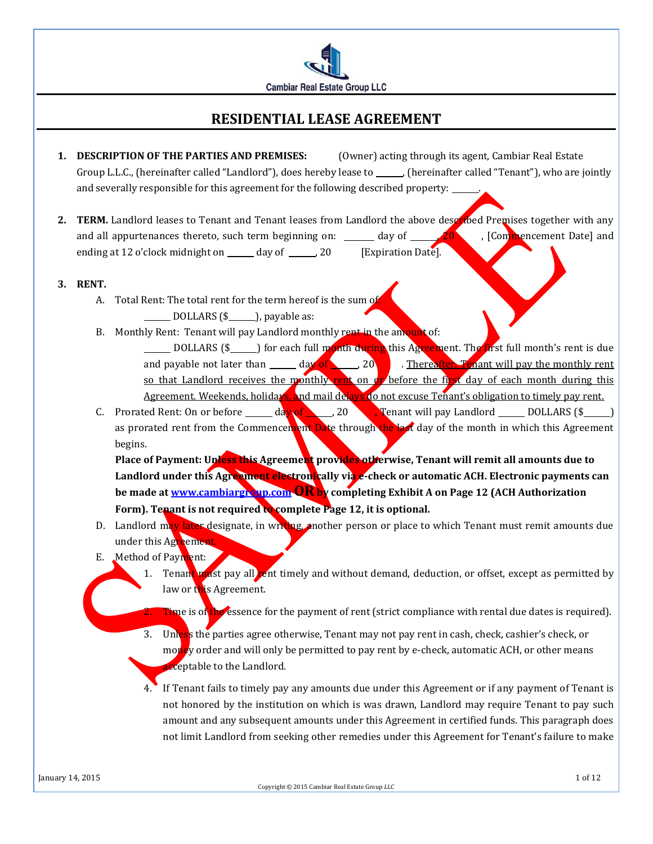

# **RESIDENTIAL LEASE AGREEMENT**

- **1. DESCRIPTION OF THE PARTIES AND PREMISES:** (Owner) acting through its agent, Cambiar Real Estate Group L.L.C., (hereinafter called "Landlord"), does hereby lease to \_\_\_\_\_\_, (hereinafter called "Tenant"), who are jointly and severally responsible for this agreement for the following described property:
- 2. **TERM.** Landlord leases to Tenant and Tenant leases from Landlord the above described Premises together with any and all appurtenances thereto, such term beginning on:  $\frac{1}{20}$  day of  $\frac{20}{10}$ , [Commencement Date] and ending at 12 o'clock midnight on \_\_\_\_\_ day of \_\_\_\_\_\_, 20 [Expiration Date].
- **3. RENT.**
	- A. Total Rent: The total rent for the term hereof is the sum of DOLLARS (\$ ), payable as:
	- B. Monthly Rent: Tenant will pay Landlord monthly rent in the amount of: DOLLARS (\$<sub>1000</sub>) for each full month during this Agreement. The first full month's rent is due and payable not later than  $\frac{d\mathbf{x}}{dt}$  of  $\frac{d\mathbf{x}}{dt}$  . Thereafter, Tenant will pay the monthly rent so that Landlord receives the monthly rent on or before the first day of each month during this Agreement. Weekends, holidays, and mail delays do not excuse Tenant's obligation to timely pay rent.
	- C. Prorated Rent: On or before  $\_\_\_\_\$  day of  $\_\_\_\$  20  $\_\_\_\$  Tenant will pay Landlord  $\_\_\_\_\_$  DOLLARS (\$ $\_\_\_\_\$ ) as prorated rent from the Commencement Date through the last day of the month in which this Agreement begins.

Place of Payment: Unless this Agreement provides otherwise, Tenant will remit all amounts due to Landlord under this Agreement electronically via e-check or automatic ACH. Electronic payments can **be made a[t www.cambiargroup.com](http://www.cambiargroup.com/) ORby completing Exhibit A on Page 12 (ACH Authorization Form). Tenant is not required to complete Page 12, it is optional.**

- D. Landlord may later designate, in writing, another person or place to which Tenant must remit amounts due under this Agreement.
- E. Method of Payment:
	- 1. Tenant must pay all rent timely and without demand, deduction, or offset, except as permitted by law or this Agreement.
		- Time is of the essence for the payment of rent (strict compliance with rental due dates is required).
	- 3. Unless the parties agree otherwise, Tenant may not pay rent in cash, check, cashier's check, or money order and will only be permitted to pay rent by e-check, automatic ACH, or other means acceptable to the Landlord.
	- 4. If Tenant fails to timely pay any amounts due under this Agreement or if any payment of Tenant is not honored by the institution on which is was drawn, Landlord may require Tenant to pay such amount and any subsequent amounts under this Agreement in certified funds. This paragraph does not limit Landlord from seeking other remedies under this Agreement for Tenant's failure to make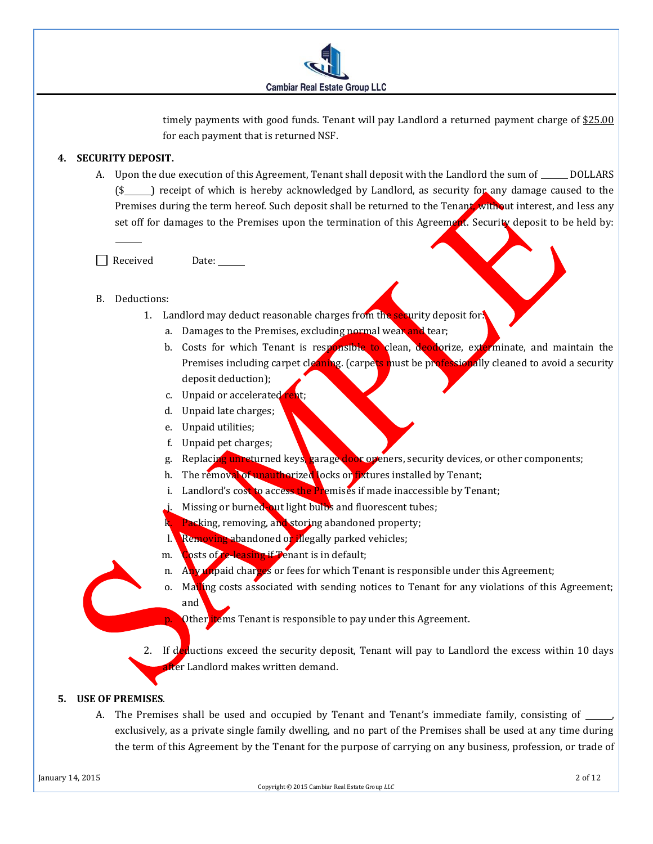

timely payments with good funds. Tenant will pay Landlord a returned payment charge of \$25.00 for each payment that is returned NSF.

# **4. SECURITY DEPOSIT.**

A. Upon the due execution of this Agreement, Tenant shall deposit with the Landlord the sum of \_\_\_\_\_\_ DOLLARS (\$ ) receipt of which is hereby acknowledged by Landlord, as security for any damage caused to the Premises during the term hereof. Such deposit shall be returned to the Tenant, without interest, and less any set off for damages to the Premises upon the termination of this Agreement. Security deposit to be held by:

Received Date:

- B. Deductions:
	- 1. Landlord may deduct reasonable charges from the security deposit for.
		- a. Damages to the Premises, excluding normal wear and tear;
		- b. Costs for which Tenant is responsible to clean, deodorize, exterminate, and maintain the Premises including carpet cleaning. (carpets must be professionally cleaned to avoid a security deposit deduction);
		- c. Unpaid or accelerated rent;
		- d. Unpaid late charges;
		- e. Unpaid utilities;
		- f. Unpaid pet charges;
		- g. Replacing unreturned keys, garage door openers, security devices, or other components;
		- h. The removal of unauthorized locks or fixtures installed by Tenant;
		- i. Landlord's cost to access the Premises if made inaccessible by Tenant;
		- Missing or burned-out light bulbs and fluorescent tubes;
		- Packing, removing, and storing abandoned property;
		- l. Removing abandoned or illegally parked vehicles;
		- m. Costs of re-leasing if Tenant is in default;
		- n. Any unpaid charges or fees for which Tenant is responsible under this Agreement;
		- o. Mailing costs associated with sending notices to Tenant for any violations of this Agreement; and
			- Other items Tenant is responsible to pay under this Agreement.

2. If deductions exceed the security deposit, Tenant will pay to Landlord the excess within 10 days fter Landlord makes written demand.

#### **5. USE OF PREMISES**.

A. The Premises shall be used and occupied by Tenant and Tenant's immediate family, consisting of  $\overline{\phantom{a}}$ exclusively, as a private single family dwelling, and no part of the Premises shall be used at any time during the term of this Agreement by the Tenant for the purpose of carrying on any business, profession, or trade of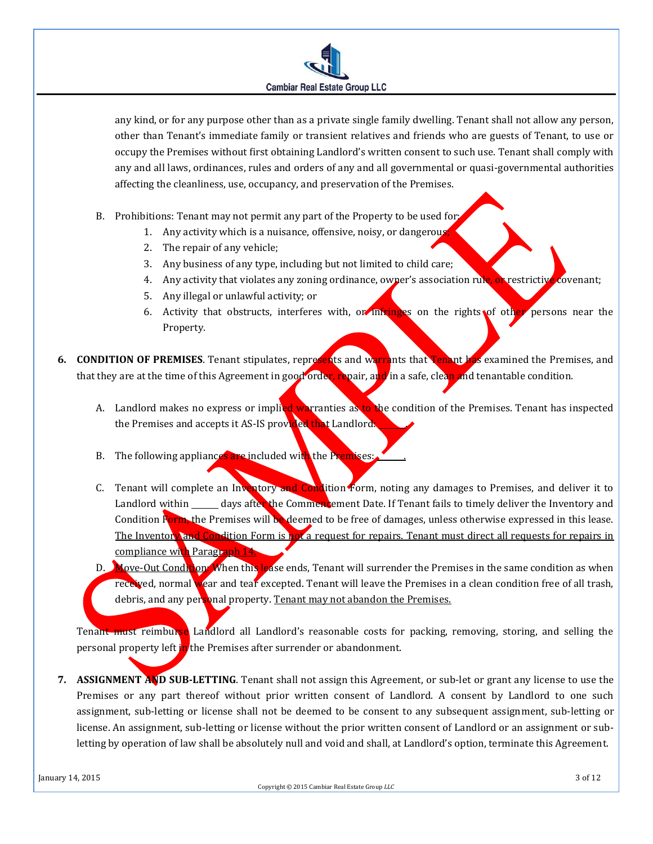

any kind, or for any purpose other than as a private single family dwelling. Tenant shall not allow any person, other than Tenant's immediate family or transient relatives and friends who are guests of Tenant, to use or occupy the Premises without first obtaining Landlord's written consent to such use. Tenant shall comply with any and all laws, ordinances, rules and orders of any and all governmental or quasi-governmental authorities affecting the cleanliness, use, occupancy, and preservation of the Premises.

- B. Prohibitions: Tenant may not permit any part of the Property to be used for:
	- 1. Any activity which is a nuisance, offensive, noisy, or dangerous;
	- 2. The repair of any vehicle;
	- 3. Any business of any type, including but not limited to child care;
	- 4. Any activity that violates any zoning ordinance, owner's association rule, or restrictive covenant;
	- 5. Any illegal or unlawful activity; or
	- 6. Activity that obstructs, interferes with, or infringes on the rights of other persons near the Property.
- **6. CONDITION OF PREMISES**. Tenant stipulates, represents and warrants that Tenant has examined the Premises, and that they are at the time of this Agreement in good order, repair, and in a safe, clean and tenantable condition.
	- A. Landlord makes no express or implied warranties as to the condition of the Premises. Tenant has inspected the Premises and accepts it AS-IS provided that Landlords
	- B. The following appliances are included with the Premises:
	- C. Tenant will complete an Inventory and Condition Form, noting any damages to Premises, and deliver it to Landlord within \_\_\_\_\_\_ days after the Commencement Date. If Tenant fails to timely deliver the Inventory and Condition Form, the Premises will be deemed to be free of damages, unless otherwise expressed in this lease. The Inventory and Condition Form is not a request for repairs. Tenant must direct all requests for repairs in compliance with Paragraph 14.
	- D. Move-Out Condition: When this lease ends, Tenant will surrender the Premises in the same condition as when received, normal wear and tear excepted. Tenant will leave the Premises in a clean condition free of all trash, debris, and any personal property. Tenant may not abandon the Premises.

Tenant must reimburse Landlord all Landlord's reasonable costs for packing, removing, storing, and selling the personal property left in the Premises after surrender or abandonment.

**7. ASSIGNMENT AND SUB-LETTING**. Tenant shall not assign this Agreement, or sub-let or grant any license to use the Premises or any part thereof without prior written consent of Landlord. A consent by Landlord to one such assignment, sub-letting or license shall not be deemed to be consent to any subsequent assignment, sub-letting or license. An assignment, sub-letting or license without the prior written consent of Landlord or an assignment or subletting by operation of law shall be absolutely null and void and shall, at Landlord's option, terminate this Agreement.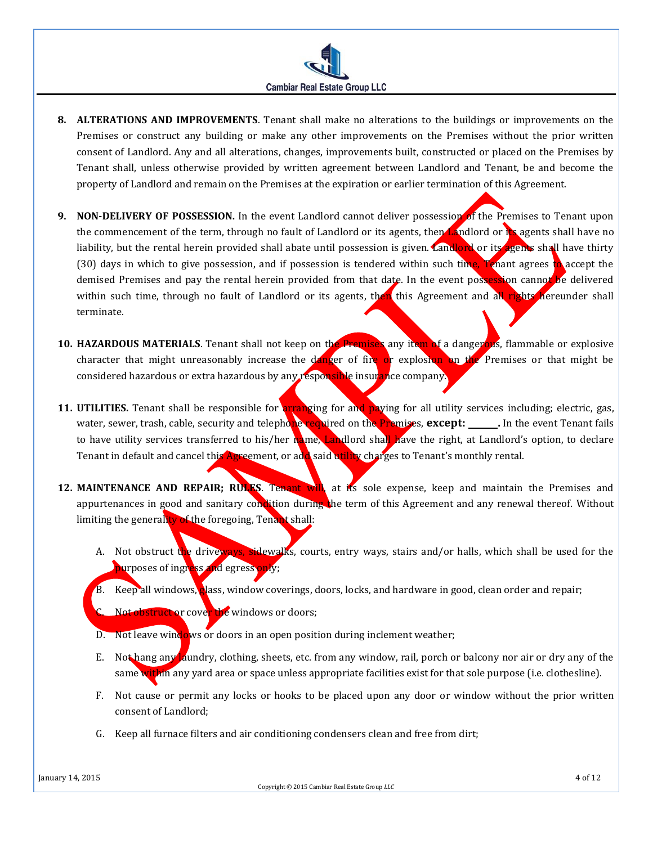- **8. ALTERATIONS AND IMPROVEMENTS**. Tenant shall make no alterations to the buildings or improvements on the Premises or construct any building or make any other improvements on the Premises without the prior written consent of Landlord. Any and all alterations, changes, improvements built, constructed or placed on the Premises by Tenant shall, unless otherwise provided by written agreement between Landlord and Tenant, be and become the property of Landlord and remain on the Premises at the expiration or earlier termination of this Agreement.
- **9. NON-DELIVERY OF POSSESSION.** In the event Landlord cannot deliver possession of the Premises to Tenant upon the commencement of the term, through no fault of Landlord or its agents, then Landlord or its agents shall have no liability, but the rental herein provided shall abate until possession is given. Landlord or its agents shall have thirty (30) days in which to give possession, and if possession is tendered within such time, Tenant agrees to accept the demised Premises and pay the rental herein provided from that date. In the event possession cannot be delivered within such time, through no fault of Landlord or its agents, then this Agreement and all rights hereunder shall terminate.
- **10. HAZARDOUS MATERIALS**. Tenant shall not keep on the Premises any item of a dangerous, flammable or explosive character that might unreasonably increase the danger of fire or explosion on the Premises or that might be considered hazardous or extra hazardous by any responsible insurance company.
- **11. UTILITIES.** Tenant shall be responsible for **arranging** for and paying for all utility services including; electric, gas, water, sewer, trash, cable, security and telephone required on the Premises, **except:** \_\_\_\_\_\_. In the event Tenant fails to have utility services transferred to his/her name, Landlord shall have the right, at Landlord's option, to declare Tenant in default and cancel this Agreement, or add said utility charges to Tenant's monthly rental.
- **12. MAINTENANCE AND REPAIR; RULES. Tenant will**, at its sole expense, keep and maintain the Premises and appurtenances in good and sanitary condition during the term of this Agreement and any renewal thereof. Without limiting the generality of the foregoing, Tenant shall:
	- A. Not obstruct the driveways, sidewalks, courts, entry ways, stairs and/or halls, which shall be used for the purposes of ingress and egress only;
	- B. Keep all windows, alass, window coverings, doors, locks, and hardware in good, clean order and repair;
	- Not obstruct or cove<mark>r th</mark>e windows or doors;
	- D. Not leave windows or doors in an open position during inclement weather;
	- E. Not hang any laundry, clothing, sheets, etc. from any window, rail, porch or balcony nor air or dry any of the same within any yard area or space unless appropriate facilities exist for that sole purpose (i.e. clothesline).
	- F. Not cause or permit any locks or hooks to be placed upon any door or window without the prior written consent of Landlord;
	- G. Keep all furnace filters and air conditioning condensers clean and free from dirt;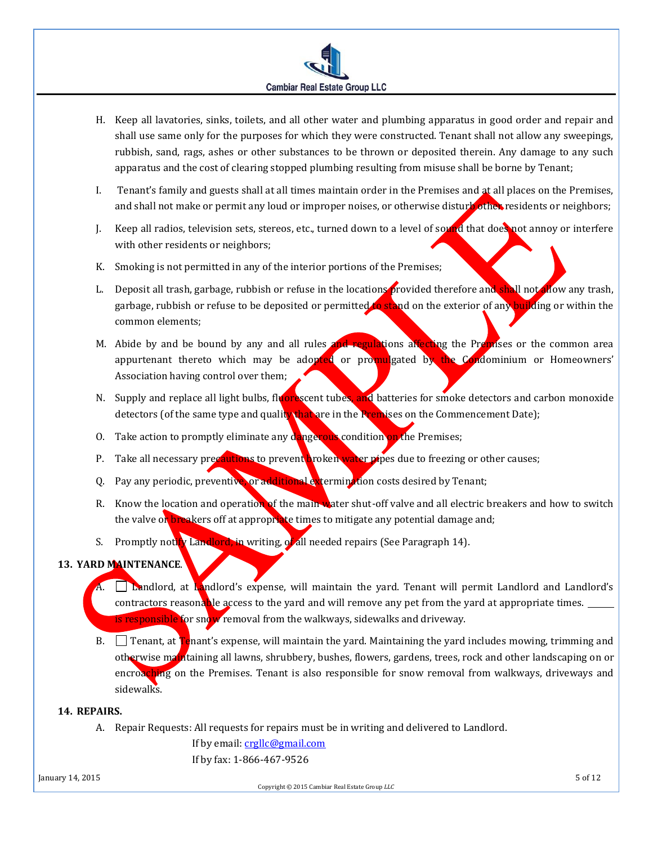

- H. Keep all lavatories, sinks, toilets, and all other water and plumbing apparatus in good order and repair and shall use same only for the purposes for which they were constructed. Tenant shall not allow any sweepings, rubbish, sand, rags, ashes or other substances to be thrown or deposited therein. Any damage to any such apparatus and the cost of clearing stopped plumbing resulting from misuse shall be borne by Tenant;
- I. Tenant's family and guests shall at all times maintain order in the Premises and at all places on the Premises, and shall not make or permit any loud or improper noises, or otherwise disturb other residents or neighbors;
- J. Keep all radios, television sets, stereos, etc., turned down to a level of sound that does not annoy or interfere with other residents or neighbors;
- K. Smoking is not permitted in any of the interior portions of the Premises;
- L. Deposit all trash, garbage, rubbish or refuse in the locations provided therefore and shall not allow any trash, garbage, rubbish or refuse to be deposited or permitted to stand on the exterior of any building or within the common elements;
- M. Abide by and be bound by any and all rules and regulations affecting the Premises or the common area appurtenant thereto which may be adopted or promulgated by the Condominium or Homeowners' Association having control over them;
- N. Supply and replace all light bulbs, fluorescent tubes, and batteries for smoke detectors and carbon monoxide detectors (of the same type and quality that are in the Premises on the Commencement Date);
- O. Take action to promptly eliminate any dangerous condition on the Premises;
- P. Take all necessary precautions to prevent broken water pipes due to freezing or other causes;
- Q. Pay any periodic, preventive, or additional extermination costs desired by Tenant;
- R. Know the location and operation of the main water shut-off valve and all electric breakers and how to switch the valve or breakers off at appropriate times to mitigate any potential damage and;
- S. Promptly notify Landlord, in writing, of all needed repairs (See Paragraph 14).

# **13. YARD MAINTENANCE**.

- A. Landlord, at Landlord's expense, will maintain the yard. Tenant will permit Landlord and Landlord's contractors reasonable access to the yard and will remove any pet from the yard at appropriate times. is responsible for snow removal from the walkways, sidewalks and driveway.
- B.  $\Box$  Tenant, at Tenant's expense, will maintain the yard. Maintaining the yard includes mowing, trimming and otherwise maintaining all lawns, shrubbery, bushes, flowers, gardens, trees, rock and other landscaping on or encroaching on the Premises. Tenant is also responsible for snow removal from walkways, driveways and sidewalks.

#### **14. REPAIRS.**

A. Repair Requests: All requests for repairs must be in writing and delivered to Landlord.

If by email[: crgllc@gmail.com](mailto:crgllc@gmail.com) If by fax: 1-866-467-9526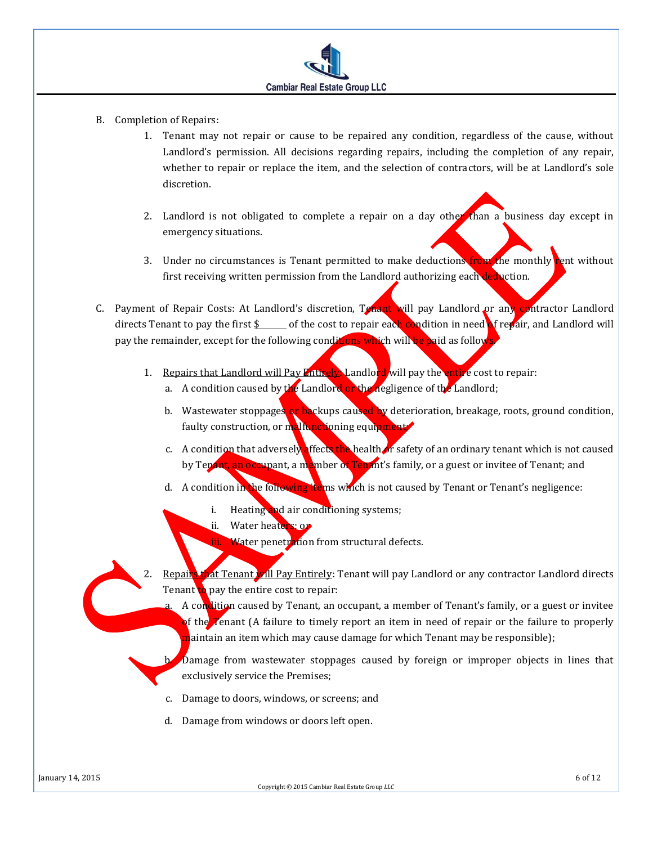

- B. Completion of Repairs:
	- 1. Tenant may not repair or cause to be repaired any condition, regardless of the cause, without Landlord's permission. All decisions regarding repairs, including the completion of any repair, whether to repair or replace the item, and the selection of contractors, will be at Landlord's sole discretion.
	- 2. Landlord is not obligated to complete a repair on a day other than a business day except in emergency situations.
	- 3. Under no circumstances is Tenant permitted to make deductions from the monthly rent without first receiving written permission from the Landlord authorizing each deduction.
- C. Payment of Repair Costs: At Landlord's discretion, Tenant will pay Landlord or any contractor Landlord directs Tenant to pay the first  $\frac{1}{2}$  of the cost to repair each condition in need of repair, and Landlord will pay the remainder, except for the following conditions which will be paid as follow
	- 1. Repairs that Landlord will Pay Entirely, Landlord will pay the entire cost to repair:
		- a. A condition caused by the Landlord or the negligence of the Landlord;
		- b. Wastewater stoppages or backups caused by deterioration, breakage, roots, ground condition, faulty construction, or malfunctioning equipment
		- c. A condition that adversely affects the health or safety of an ordinary tenant which is not caused by Tenant, an occupant, a member of Tenant's family, or a guest or invitee of Tenant; and
		- d. A condition in the following items which is not caused by Tenant or Tenant's negligence:
			- i. Heating and air conditioning systems;
			- ii. Water heaters; or
				- Water penetration from structural defects.
	- 2. Repairs that Tenant will Pay Entirely: Tenant will pay Landlord or any contractor Landlord directs Tenant to pay the entire cost to repair:

A condition caused by Tenant, an occupant, a member of Tenant's family, or a guest or invitee of the Tenant (A failure to timely report an item in need of repair or the failure to properly maintain an item which may cause damage for which Tenant may be responsible);

Damage from wastewater stoppages caused by foreign or improper objects in lines that exclusively service the Premises;

- c. Damage to doors, windows, or screens; and
- d. Damage from windows or doors left open.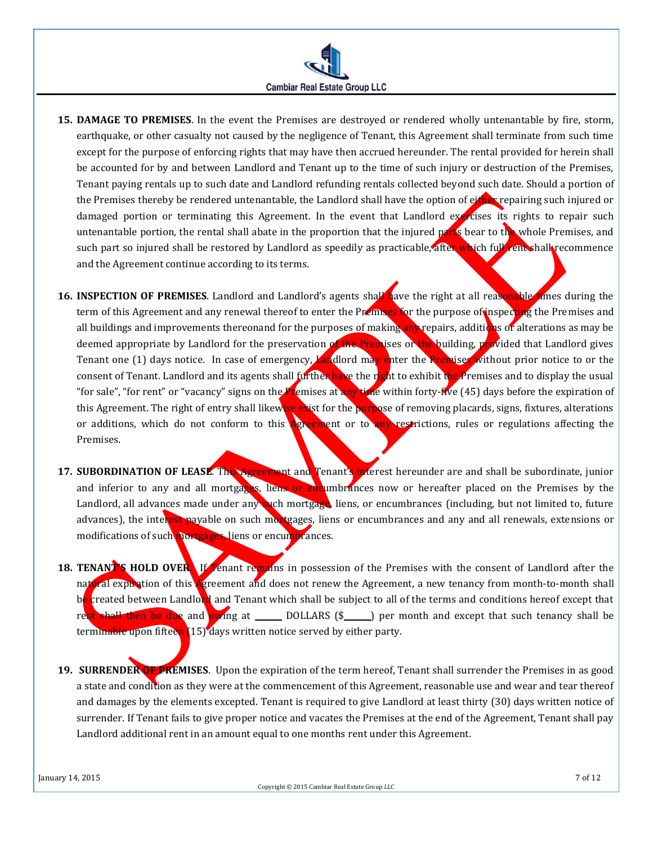

- **15. DAMAGE TO PREMISES**. In the event the Premises are destroyed or rendered wholly untenantable by fire, storm, earthquake, or other casualty not caused by the negligence of Tenant, this Agreement shall terminate from such time except for the purpose of enforcing rights that may have then accrued hereunder. The rental provided for herein shall be accounted for by and between Landlord and Tenant up to the time of such injury or destruction of the Premises, Tenant paying rentals up to such date and Landlord refunding rentals collected beyond such date. Should a portion of the Premises thereby be rendered untenantable, the Landlord shall have the option of either repairing such injured or damaged portion or terminating this Agreement. In the event that Landlord exercises its rights to repair such untenantable portion, the rental shall abate in the proportion that the injured parts bear to the whole Premises, and such part so injured shall be restored by Landlord as speedily as practicable, after which full rent shall recommence and the Agreement continue according to its terms.
- **16. INSPECTION OF PREMISES**. Landlord and Landlord's agents shall have the right at all reasonable times during the term of this Agreement and any renewal thereof to enter the Premises for the purpose of inspecting the Premises and all buildings and improvements thereonand for the purposes of making any repairs, additions of alterations as may be deemed appropriate by Landlord for the preservation of the Premises or the building, provided that Landlord gives Tenant one (1) days notice. In case of emergency, Landlord may enter the Premises without prior notice to or the consent of Tenant. Landlord and its agents shall further have the right to exhibit the Premises and to display the usual "for sale", "for rent" or "vacancy" signs on the Premises at any time within forty-five (45) days before the expiration of this Agreement. The right of entry shall likewise exist for the purpose of removing placards, signs, fixtures, alterations or additions, which do not conform to this **Agreement** or to any restrictions, rules or regulations affecting the Premises.
- **17. SUBORDINATION OF LEASE**. This Agreement and Tenant's interest hereunder are and shall be subordinate, junior and inferior to any and all mortgages, liens or encumbrances now or hereafter placed on the Premises by the Landlord, all advances made under any such mortgage, liens, or encumbrances (including, but not limited to, future advances), the interest payable on such mortgages, liens or encumbrances and any and all renewals, extensions or modifications of such mortgages, liens or encumbrances.
- **18. TENANT'S HOLD OVER.** If Tenant remains in possession of the Premises with the consent of Landlord after the natural expiration of this Agreement and does not renew the Agreement, a new tenancy from month-to-month shall be created between Landlord and Tenant which shall be subject to all of the terms and conditions hereof except that rent shall then be due and owing at \_\_\_\_\_\_ DOLLARS (\$\_\_\_\_\_) per month and except that such tenancy shall be terminable upon fifteen [15] days written notice served by either party.
- **19. SURRENDER OF PREMISES**. Upon the expiration of the term hereof, Tenant shall surrender the Premises in as good a state and condition as they were at the commencement of this Agreement, reasonable use and wear and tear thereof and damages by the elements excepted. Tenant is required to give Landlord at least thirty (30) days written notice of surrender. If Tenant fails to give proper notice and vacates the Premises at the end of the Agreement, Tenant shall pay Landlord additional rent in an amount equal to one months rent under this Agreement.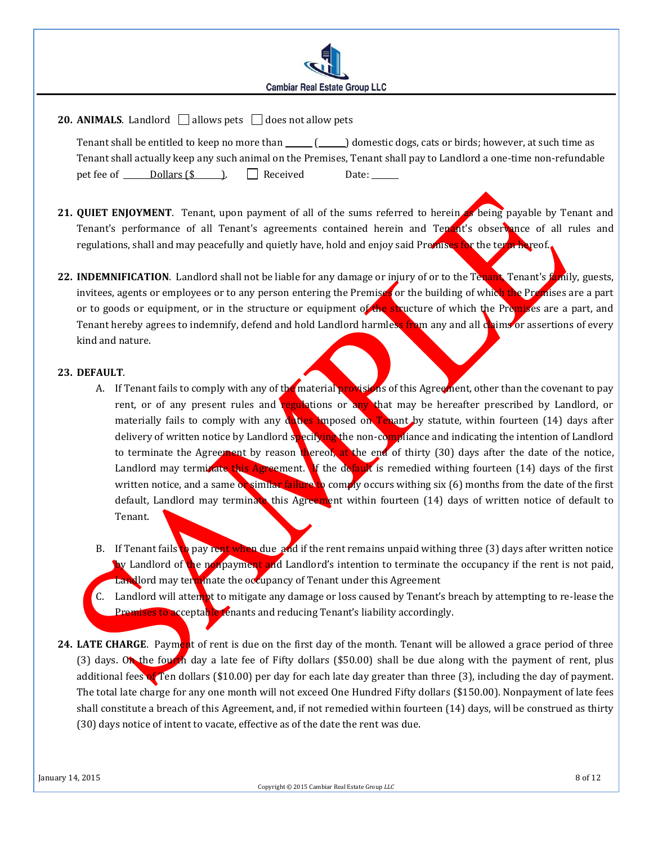

# **20. ANIMALS**. Landlord  $\Box$  allows pets  $\Box$  does not allow pets

Tenant shall be entitled to keep no more than  $\qquad \qquad$  ( $\qquad$ ) domestic dogs, cats or birds; however, at such time as Tenant shall actually keep any such animal on the Premises, Tenant shall pay to Landlord a one-time non-refundable pet fee of Dollars  $(\$ \)$ . Received Date:

- **21. QUIET ENJOYMENT**. Tenant, upon payment of all of the sums referred to herein as being payable by Tenant and Tenant's performance of all Tenant's agreements contained herein and Tenant's observance of all rules and regulations, shall and may peacefully and quietly have, hold and enjoy said Premises for the term hereof.
- **22. INDEMNIFICATION**. Landlord shall not be liable for any damage or injury of or to the Tenant, Tenant's family, guests, invitees, agents or employees or to any person entering the Premises or the building of which the Premises are a part or to goods or equipment, or in the structure or equipment of the structure of which the Premises are a part, and Tenant hereby agrees to indemnify, defend and hold Landlord harmless from any and all claims or assertions of every kind and nature.

### **23. DEFAULT**.

- A. If Tenant fails to comply with any of the material provisions of this Agreement, other than the covenant to pay rent, or of any present rules and regulations or any that may be hereafter prescribed by Landlord, or materially fails to comply with any duties imposed on Tenant by statute, within fourteen  $(14)$  days after delivery of written notice by Landlord specifying the non-compliance and indicating the intention of Landlord to terminate the Agreement by reason thereof, at the end of thirty (30) days after the date of the notice, Landlord may terminate this Agreement. If the default is remedied withing fourteen  $(14)$  days of the first written notice, and a same or similar failure to comply occurs withing six (6) months from the date of the first default, Landlord may terminate this Agreement within fourteen (14) days of written notice of default to Tenant.
- B. If Tenant fails to pay rent when due and if the rent remains unpaid withing three (3) days after written notice by Landlord of the nonpayment and Landlord's intention to terminate the occupancy if the rent is not paid, Landlord may terminate the occupancy of Tenant under this Agreement
- C. Landlord will attempt to mitigate any damage or loss caused by Tenant's breach by attempting to re-lease the Premises to acceptable tenants and reducing Tenant's liability accordingly.
- **24. LATE CHARGE**. Payment of rent is due on the first day of the month. Tenant will be allowed a grace period of three (3) days. On the fourth day a late fee of Fifty dollars (\$50.00) shall be due along with the payment of rent, plus additional fees of Ten dollars (\$10.00) per day for each late day greater than three (3), including the day of payment. The total late charge for any one month will not exceed One Hundred Fifty dollars (\$150.00). Nonpayment of late fees shall constitute a breach of this Agreement, and, if not remedied within fourteen (14) days, will be construed as thirty (30) days notice of intent to vacate, effective as of the date the rent was due.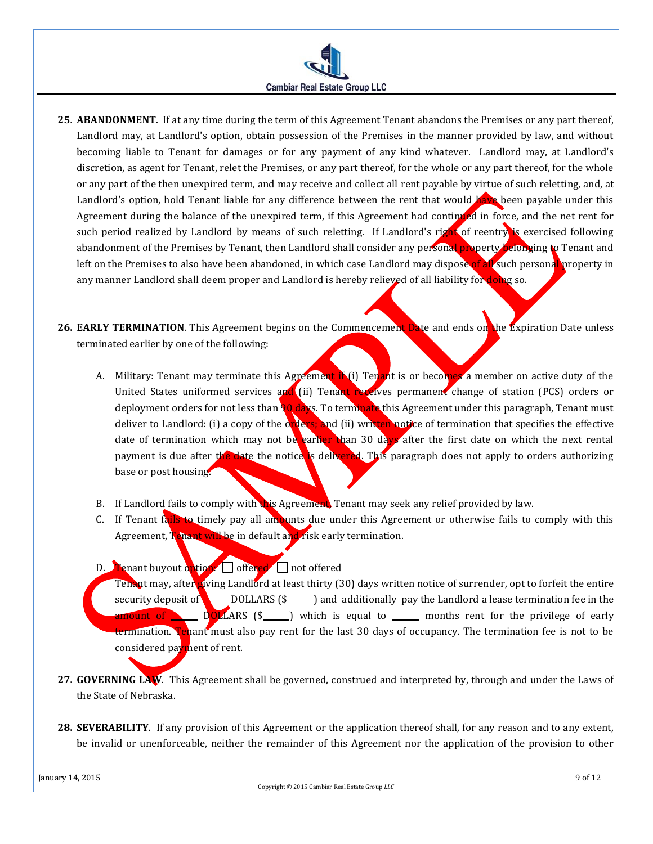

**25. ABANDONMENT**. If at any time during the term of this Agreement Tenant abandons the Premises or any part thereof, Landlord may, at Landlord's option, obtain possession of the Premises in the manner provided by law, and without becoming liable to Tenant for damages or for any payment of any kind whatever. Landlord may, at Landlord's discretion, as agent for Tenant, relet the Premises, or any part thereof, for the whole or any part thereof, for the whole or any part of the then unexpired term, and may receive and collect all rent payable by virtue of such reletting, and, at Landlord's option, hold Tenant liable for any difference between the rent that would have been payable under this Agreement during the balance of the unexpired term, if this Agreement had continued in force, and the net rent for such period realized by Landlord by means of such reletting. If Landlord's right of reentry is exercised following abandonment of the Premises by Tenant, then Landlord shall consider any personal property belonging to Tenant and left on the Premises to also have been abandoned, in which case Landlord may dispose of all such personal property in any manner Landlord shall deem proper and Landlord is hereby relieved of all liability for doing so.

26. **EARLY TERMINATION**. This Agreement begins on the Commencement Date and ends on the Expiration Date unless terminated earlier by one of the following:

- A. Military: Tenant may terminate this Agreement if (i) Tenant is or becomes a member on active duty of the United States uniformed services and (ii) Tenant receives permanent change of station (PCS) orders or deployment orders for not less than 90 days. To terminate this Agreement under this paragraph, Tenant must deliver to Landlord: (i) a copy of the  $\alpha$  ders; and (ii) written notice of termination that specifies the effective date of termination which may not be earlier than 30 days after the first date on which the next rental payment is due after the date the notice is delivered. This paragraph does not apply to orders authorizing base or post housing.
- B. If Landlord fails to comply with this Agreement, Tenant may seek any relief provided by law.
- C. If Tenant fails to timely pay all amounts due under this Agreement or otherwise fails to comply with this Agreement, Tenant will be in default and risk early termination.
- D. **Tenant buyout option.**  $\Box$  offered  $\Box$  not offered
- Tenant may, after giving Landlord at least thirty (30) days written notice of surrender, opt to forfeit the entire security deposit of DOLLARS  $(\frac{2}{3})$  and additionally pay the Landlord a lease termination fee in the **amount of**  $\blacksquare$  DOLLARS  $(\S \ldots)$  which is equal to  $\ldots$  months rent for the privilege of early termination. Tehant must also pay rent for the last 30 days of occupancy. The termination fee is not to be considered payment of rent.
- **27. GOVERNING LAW**. This Agreement shall be governed, construed and interpreted by, through and under the Laws of the State of Nebraska.
- **28. SEVERABILITY**. If any provision of this Agreement or the application thereof shall, for any reason and to any extent, be invalid or unenforceable, neither the remainder of this Agreement nor the application of the provision to other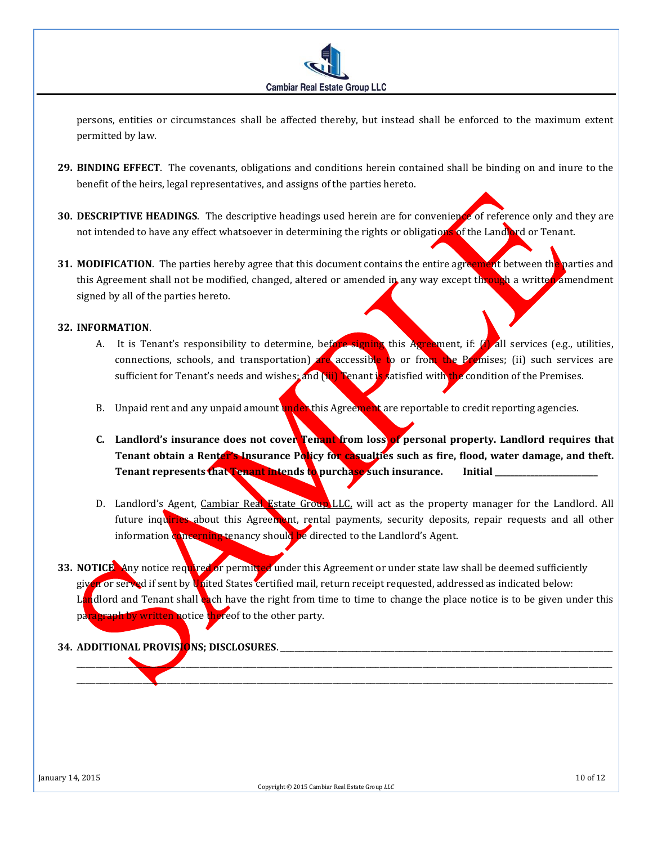

persons, entities or circumstances shall be affected thereby, but instead shall be enforced to the maximum extent permitted by law.

- **29. BINDING EFFECT**. The covenants, obligations and conditions herein contained shall be binding on and inure to the benefit of the heirs, legal representatives, and assigns of the parties hereto.
- **30. DESCRIPTIVE HEADINGS**. The descriptive headings used herein are for convenience of reference only and they are not intended to have any effect whatsoever in determining the rights or obligations of the Landlord or Tenant.
- **31. MODIFICATION**. The parties hereby agree that this document contains the entire agreement between the parties and this Agreement shall not be modified, changed, altered or amended in any way except through a written amendment signed by all of the parties hereto.

#### **32. INFORMATION**.

- A. It is Tenant's responsibility to determine, before signing this Agreement, if: (i) all services (e.g., utilities, connections, schools, and transportation) are accessible to or from the Premises; (ii) such services are sufficient for Tenant's needs and wishes; and (iii) Fenant is satisfied with the condition of the Premises.
- B. Unpaid rent and any unpaid amount under this Agreement are reportable to credit reporting agencies.
- **C. Landlord's insurance does not cover Tenant from loss of personal property. Landlord requires that Tenant obtain a Renter's Insurance Policy for casualties such as fire, flood, water damage, and theft.**  Tenant represents that Tenant intends to purchase such insurance. Initial \_\_\_\_\_\_\_
- D. Landlord's Agent, Cambiar Real Estate Group LLC, will act as the property manager for the Landlord. All future inquiries about this Agreement, rental payments, security deposits, repair requests and all other information concerning tenancy should be directed to the Landlord's Agent.
- **33.** NOTICE. Any notice required or permitted under this Agreement or under state law shall be deemed sufficiently given or served if sent by United States certified mail, return receipt requested, addressed as indicated below: Landlord and Tenant shall **each have the right from time to time to change the place notice is to be given under this** paragraph by written notice thereof to the other party.

\_\_\_\_\_\_\_\_\_\_\_\_\_\_\_\_\_\_\_\_\_\_\_\_\_\_\_\_\_\_\_\_\_\_\_\_\_\_\_\_\_\_\_\_\_\_\_\_\_\_\_\_\_\_\_\_\_\_\_\_\_\_\_\_\_\_\_\_\_\_\_\_\_\_\_\_\_\_\_\_\_\_\_\_\_\_\_\_\_\_\_\_\_\_\_\_\_\_\_\_\_\_\_\_\_\_\_\_\_\_\_\_\_ \_\_\_\_\_\_\_\_\_\_\_\_\_\_\_\_\_\_\_\_\_\_\_\_\_\_\_\_\_\_\_\_\_\_\_\_\_\_\_\_\_\_\_\_\_\_\_\_\_\_\_\_\_\_\_\_\_\_\_\_\_\_\_\_\_\_\_\_\_\_\_\_\_\_\_\_\_\_\_\_\_\_\_\_\_\_\_\_\_\_\_\_\_\_\_\_\_\_\_\_\_\_\_\_\_\_\_\_\_\_\_\_\_

## **34. ADDITIONAL PROVISIONS; DISCLOSURES**. \_\_\_\_\_\_\_\_\_\_\_\_\_\_\_\_\_\_\_\_\_\_\_\_\_\_\_\_\_\_\_\_\_\_\_\_\_\_\_\_\_\_\_\_\_\_\_\_\_\_\_\_\_\_\_\_\_\_\_\_\_\_\_\_\_\_\_\_\_\_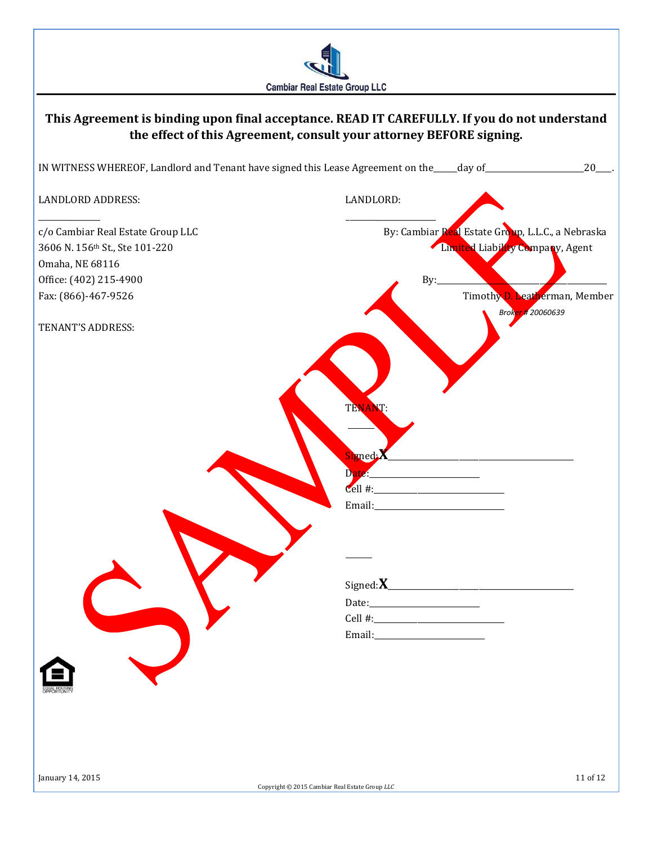

# **This Agreement is binding upon final acceptance. READ IT CAREFULLY. If you do not understand the effect of this Agreement, consult your attorney BEFORE signing.** IN WITNESS WHEREOF, Landlord and Tenant have signed this Lease Agreement on the\_\_\_\_\_\_day of\_\_\_\_\_\_\_\_\_\_\_\_\_\_\_\_\_\_\_\_\_\_\_\_\_20\_\_\_\_. LANDLORD ADDRESS: LANDLORD:  $\overline{\phantom{a}}$  , and the contract of the contract of the contract of the contract of the contract of the contract of the contract of the contract of the contract of the contract of the contract of the contract of the contrac c/o Cambiar Real Estate Group LLC and the Cambiar Real Estate Group, L.L.C., a Nebraska 3606 N. 156<sup>th</sup> St., Ste 101-220 **Limited Liability Company**, Agent Omaha, NE 68116 Office: (402) 215-4900 By: Fax: (866)-467-9526 Timothy D. Leatherman, Member *Broker # 20060639* TENANT'S ADDRESS: TENANT: Signed:**X**\_\_\_\_\_\_\_\_\_\_\_\_\_\_\_\_\_\_\_\_\_\_\_\_\_\_\_\_\_\_\_\_\_\_\_\_\_\_\_\_\_\_\_\_\_\_\_ Date:\_\_\_\_\_\_\_\_\_\_\_\_\_\_\_\_\_\_\_\_\_\_\_\_\_\_\_\_  $Cell$ #: Email: Signed:**X**\_\_\_\_\_\_\_\_\_\_\_\_\_\_\_\_\_\_\_\_\_\_\_\_\_\_\_\_\_\_\_\_\_\_\_\_\_\_\_\_\_\_\_\_\_\_\_ Date:\_\_\_\_\_\_\_\_\_\_\_\_\_\_\_\_\_\_\_\_\_\_\_\_\_\_\_\_ Cell #: Email: